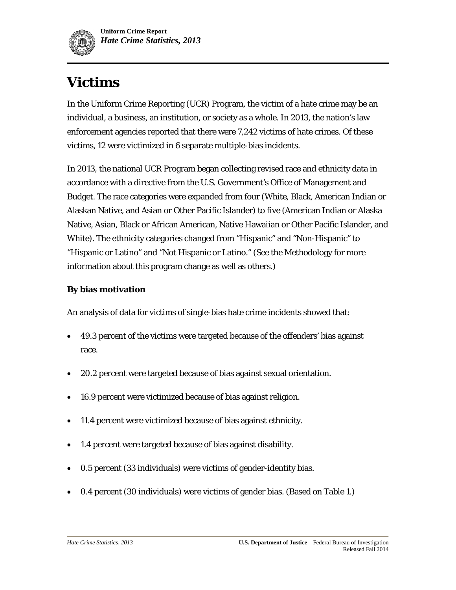

# **Victims**

In the Uniform Crime Reporting (UCR) Program, the victim of a hate crime may be an individual, a business, an institution, or society as a whole. In 2013, the nation's law enforcement agencies reported that there were 7,242 victims of hate crimes. Of these victims, 12 were victimized in 6 separate multiple-bias incidents.

In 2013, the national UCR Program began collecting revised race and ethnicity data in accordance with a directive from the U.S. Government's Office of Management and Budget. The race categories were expanded from four (White, Black, American Indian or Alaskan Native, and Asian or Other Pacific Islander) to five (American Indian or Alaska Native, Asian, Black or African American, Native Hawaiian or Other Pacific Islander, and White). The ethnicity categories changed from "Hispanic" and "Non-Hispanic" to "Hispanic or Latino" and "Not Hispanic or Latino." (See the Methodology for more information about this program change as well as others.)

#### **By bias motivation**

An analysis of data for victims of single-bias hate crime incidents showed that:

- 49.3 percent of the victims were targeted because of the offenders' bias against race.
- 20.2 percent were targeted because of bias against sexual orientation.
- 16.9 percent were victimized because of bias against religion.
- 11.4 percent were victimized because of bias against ethnicity.
- 1.4 percent were targeted because of bias against disability.
- 0.5 percent (33 individuals) were victims of gender-identity bias.
- 0.4 percent (30 individuals) were victims of gender bias. (Based on Table 1.)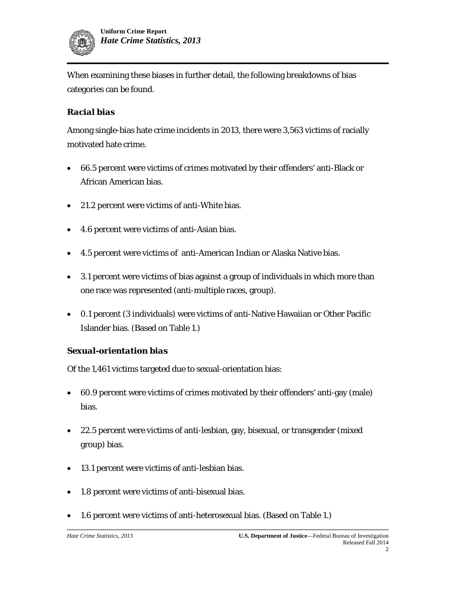

When examining these biases in further detail, the following breakdowns of bias categories can be found.

## *Racial bias*

Among single-bias hate crime incidents in 2013, there were 3,563 victims of racially motivated hate crime.

- 66.5 percent were victims of crimes motivated by their offenders' anti-Black or African American bias.
- 21.2 percent were victims of anti-White bias.
- 4.6 percent were victims of anti-Asian bias.
- 4.5 percent were victims of anti-American Indian or Alaska Native bias.
- 3.1 percent were victims of bias against a group of individuals in which more than one race was represented (anti-multiple races, group).
- 0.1 percent (3 individuals) were victims of anti-Native Hawaiian or Other Pacific Islander bias. (Based on Table 1.)

#### *Sexual-orientation bias*

Of the 1,461 victims targeted due to sexual-orientation bias:

- 60.9 percent were victims of crimes motivated by their offenders' anti-gay (male) bias.
- 22.5 percent were victims of anti-lesbian, gay, bisexual, or transgender (mixed group) bias.
- 13.1 percent were victims of anti-lesbian bias.
- 1.8 percent were victims of anti-bisexual bias.
- 1.6 percent were victims of anti-heterosexual bias. (Based on Table 1.)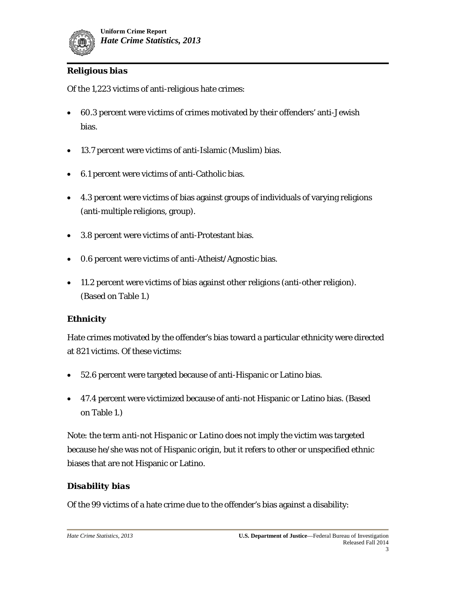

## *Religious bias*

Of the 1,223 victims of anti-religious hate crimes:

- 60.3 percent were victims of crimes motivated by their offenders' anti-Jewish bias.
- 13.7 percent were victims of anti-Islamic (Muslim) bias.
- 6.1 percent were victims of anti-Catholic bias.
- 4.3 percent were victims of bias against groups of individuals of varying religions (anti-multiple religions, group).
- 3.8 percent were victims of anti-Protestant bias.
- 0.6 percent were victims of anti-Atheist/Agnostic bias.
- 11.2 percent were victims of bias against other religions (anti-other religion). (Based on Table 1.)

#### *Ethnicity*

Hate crimes motivated by the offender's bias toward a particular ethnicity were directed at 821 victims. Of these victims:

- 52.6 percent were targeted because of anti-Hispanic or Latino bias.
- 47.4 percent were victimized because of anti-not Hispanic or Latino bias. (Based on Table 1.)

Note: the term *anti-not Hispanic or Latino* does not imply the victim was targeted because he/she was not of Hispanic origin, but it refers to other or unspecified ethnic biases that are not Hispanic or Latino.

#### *Disability bias*

Of the 99 victims of a hate crime due to the offender's bias against a disability: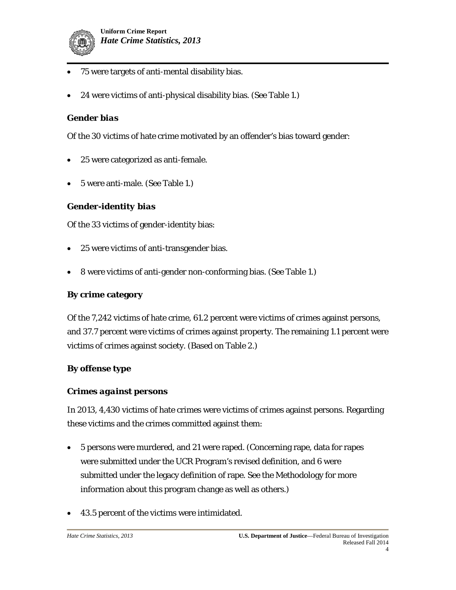

- 75 were targets of anti-mental disability bias.
- 24 were victims of anti-physical disability bias. (See Table 1.)

#### *Gender bias*

Of the 30 victims of hate crime motivated by an offender's bias toward gender:

- 25 were categorized as anti-female.
- 5 were anti-male. (See Table 1.)

## *Gender-identity bias*

Of the 33 victims of gender-identity bias:

- 25 were victims of anti-transgender bias.
- 8 were victims of anti-gender non-conforming bias. (See Table 1.)

### **By crime category**

Of the 7,242 victims of hate crime, 61.2 percent were victims of crimes against persons, and 37.7 percent were victims of crimes against property. The remaining 1.1 percent were victims of crimes against society. (Based on Table 2.)

#### **By offense type**

#### *Crimes against persons*

In 2013, 4,430 victims of hate crimes were victims of crimes against persons. Regarding these victims and the crimes committed against them:

- 5 persons were murdered, and 21 were raped. (Concerning rape, data for rapes were submitted under the UCR Program's revised definition, and 6 were submitted under the legacy definition of rape. See the Methodology for more information about this program change as well as others.)
- 43.5 percent of the victims were intimidated.